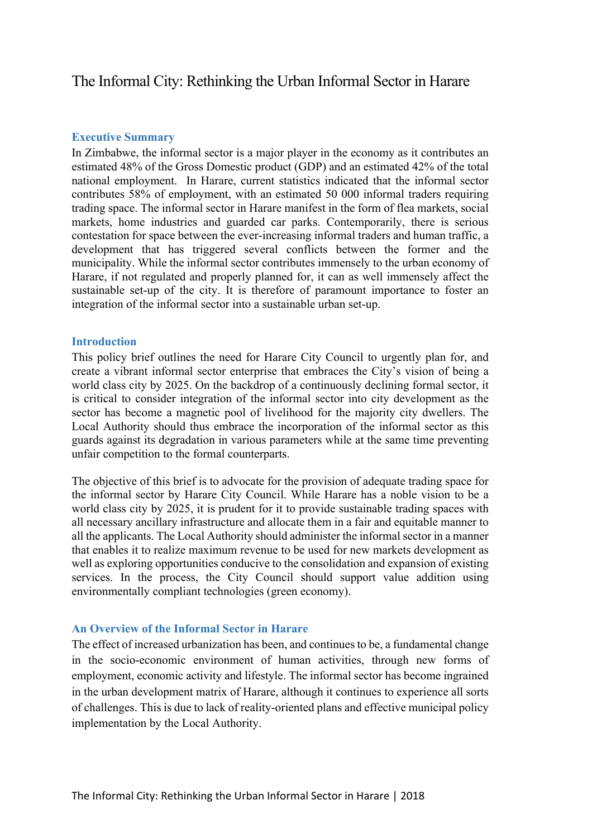# The Informal City: Rethinking the Urban Informal Sector in Harare

### **Executive Summary**

In Zimbabwe, the informal sector is a major player in the economy as it contributes an estimated 48% of the Gross Domestic product (GDP) and an estimated 42% of the total national employment. In Harare, current statistics indicated that the informal sector contributes 58% of employment, with an estimated 50 000 informal traders requiring trading space. The informal sector in Harare manifest in the form of flea markets, social markets, home industries and guarded car parks. Contemporarily, there is serious contestation for space between the ever-increasing informal traders and human traffic, a development that has triggered several conflicts between the former and the municipality. While the informal sector contributes immensely to the urban economy of Harare, if not regulated and properly planned for, it can as well immensely affect the sustainable set-up of the city. It is therefore of paramount importance to foster an integration of the informal sector into a sustainable urban set-up.

### **Introduction**

This policy brief outlines the need for Harare City Council to urgently plan for, and create a vibrant informal sector enterprise that embraces the City's vision of being a world class city by 2025. On the backdrop of a continuously declining formal sector, it is critical to consider integration of the informal sector into city development as the sector has become a magnetic pool of livelihood for the majority city dwellers. The Local Authority should thus embrace the incorporation of the informal sector as this guards against its degradation in various parameters while at the same time preventing unfair competition to the formal counterparts.

The objective of this brief is to advocate for the provision of adequate trading space for the informal sector by Harare City Council. While Harare has a noble vision to be a world class city by 2025, it is prudent for it to provide sustainable trading spaces with all necessary ancillary infrastructure and allocate them in a fair and equitable manner to all the applicants. The Local Authority should administer the informal sector in a manner that enables it to realize maximum revenue to be used for new markets development as well as exploring opportunities conducive to the consolidation and expansion of existing services. In the process, the City Council should support value addition using environmentally compliant technologies (green economy).

### **An Overview of the Informal Sector in Harare**

The effect of increased urbanization has been, and continues to be, a fundamental change in the socio-economic environment of human activities, through new forms of employment, economic activity and lifestyle. The informal sector has become ingrained in the urban development matrix of Harare, although it continues to experience all sorts of challenges. This is due to lack of reality-oriented plans and effective municipal policy implementation by the Local Authority.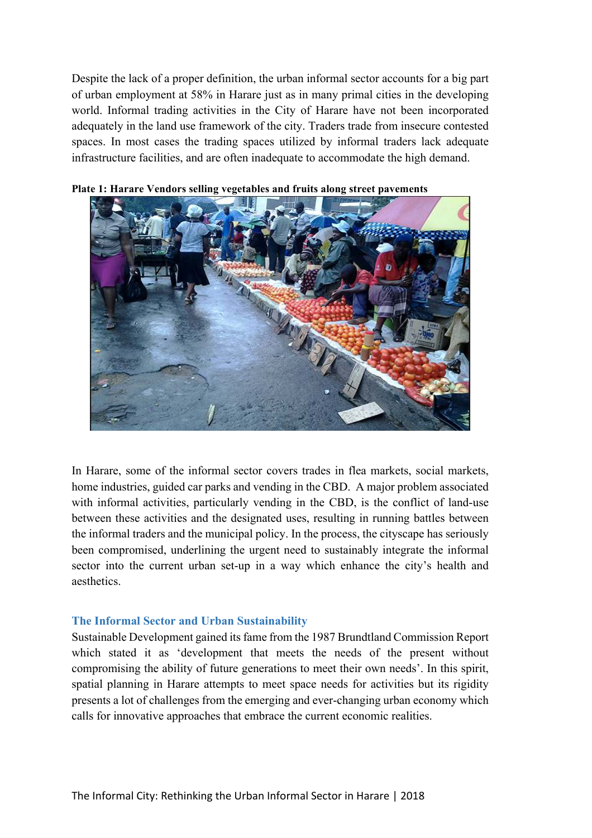Despite the lack of a proper definition, the urban informal sector accounts for a big part of urban employment at 58% in Harare just as in many primal cities in the developing world. Informal trading activities in the City of Harare have not been incorporated adequately in the land use framework of the city. Traders trade from insecure contested spaces. In most cases the trading spaces utilized by informal traders lack adequate infrastructure facilities, and are often inadequate to accommodate the high demand.



#### **Plate 1: Harare Vendors selling vegetables and fruits along street pavements**

In Harare, some of the informal sector covers trades in flea markets, social markets, home industries, guided car parks and vending in the CBD. A major problem associated with informal activities, particularly vending in the CBD, is the conflict of land-use between these activities and the designated uses, resulting in running battles between the informal traders and the municipal policy. In the process, the cityscape has seriously been compromised, underlining the urgent need to sustainably integrate the informal sector into the current urban set-up in a way which enhance the city's health and aesthetics.

#### **The Informal Sector and Urban Sustainability**

Sustainable Development gained its fame from the 1987 Brundtland Commission Report which stated it as 'development that meets the needs of the present without compromising the ability of future generations to meet their own needs'. In this spirit, spatial planning in Harare attempts to meet space needs for activities but its rigidity presents a lot of challenges from the emerging and ever-changing urban economy which calls for innovative approaches that embrace the current economic realities.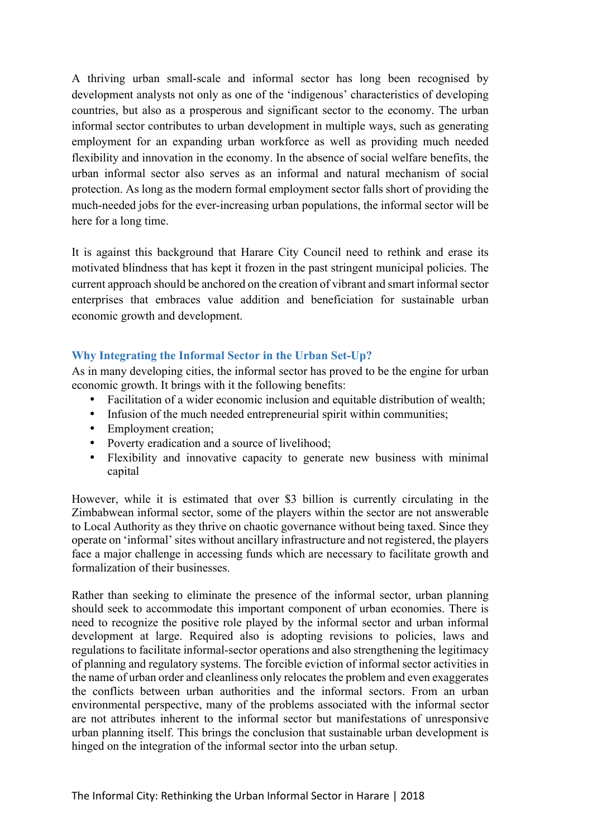A thriving urban small-scale and informal sector has long been recognised by development analysts not only as one of the 'indigenous' characteristics of developing countries, but also as a prosperous and significant sector to the economy. The urban informal sector contributes to urban development in multiple ways, such as generating employment for an expanding urban workforce as well as providing much needed flexibility and innovation in the economy. In the absence of social welfare benefits, the urban informal sector also serves as an informal and natural mechanism of social protection. As long as the modern formal employment sector falls short of providing the much-needed jobs for the ever-increasing urban populations, the informal sector will be here for a long time.

It is against this background that Harare City Council need to rethink and erase its motivated blindness that has kept it frozen in the past stringent municipal policies. The current approach should be anchored on the creation of vibrant and smart informal sector enterprises that embraces value addition and beneficiation for sustainable urban economic growth and development.

# **Why Integrating the Informal Sector in the Urban Set-Up?**

As in many developing cities, the informal sector has proved to be the engine for urban economic growth. It brings with it the following benefits:

- Facilitation of a wider economic inclusion and equitable distribution of wealth;
- Infusion of the much needed entrepreneurial spirit within communities;
- Employment creation;
- Poverty eradication and a source of livelihood;
- Flexibility and innovative capacity to generate new business with minimal capital

However, while it is estimated that over \$3 billion is currently circulating in the Zimbabwean informal sector, some of the players within the sector are not answerable to Local Authority as they thrive on chaotic governance without being taxed. Since they operate on 'informal' sites without ancillary infrastructure and not registered, the players face a major challenge in accessing funds which are necessary to facilitate growth and formalization of their businesses.

Rather than seeking to eliminate the presence of the informal sector, urban planning should seek to accommodate this important component of urban economies. There is need to recognize the positive role played by the informal sector and urban informal development at large. Required also is adopting revisions to policies, laws and regulations to facilitate informal-sector operations and also strengthening the legitimacy of planning and regulatory systems. The forcible eviction of informal sector activities in the name of urban order and cleanliness only relocates the problem and even exaggerates the conflicts between urban authorities and the informal sectors. From an urban environmental perspective, many of the problems associated with the informal sector are not attributes inherent to the informal sector but manifestations of unresponsive urban planning itself. This brings the conclusion that sustainable urban development is hinged on the integration of the informal sector into the urban setup.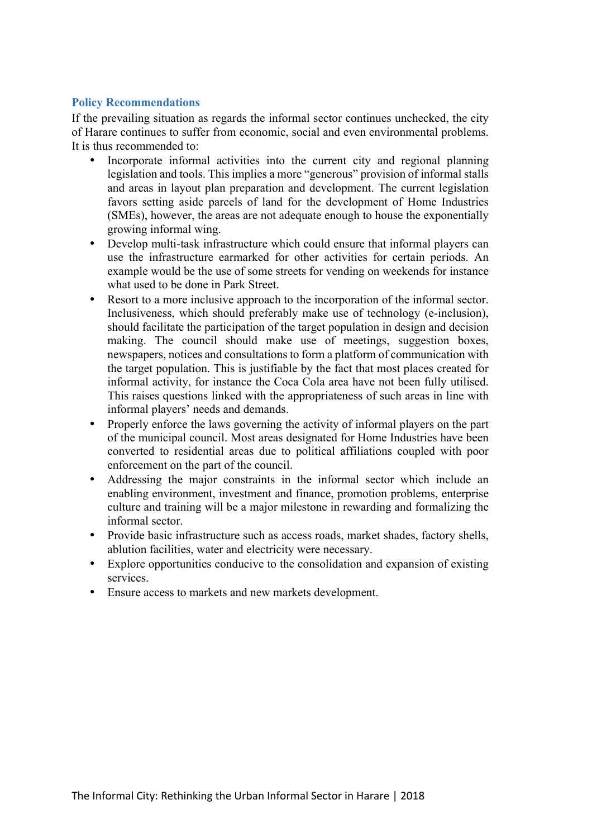# **Policy Recommendations**

If the prevailing situation as regards the informal sector continues unchecked, the city of Harare continues to suffer from economic, social and even environmental problems. It is thus recommended to:

- Incorporate informal activities into the current city and regional planning legislation and tools. This implies a more "generous" provision of informal stalls and areas in layout plan preparation and development. The current legislation favors setting aside parcels of land for the development of Home Industries (SMEs), however, the areas are not adequate enough to house the exponentially growing informal wing.
- Develop multi-task infrastructure which could ensure that informal players can use the infrastructure earmarked for other activities for certain periods. An example would be the use of some streets for vending on weekends for instance what used to be done in Park Street.
- Resort to a more inclusive approach to the incorporation of the informal sector. Inclusiveness, which should preferably make use of technology (e-inclusion), should facilitate the participation of the target population in design and decision making. The council should make use of meetings, suggestion boxes, newspapers, notices and consultations to form a platform of communication with the target population. This is justifiable by the fact that most places created for informal activity, for instance the Coca Cola area have not been fully utilised. This raises questions linked with the appropriateness of such areas in line with informal players' needs and demands.
- Properly enforce the laws governing the activity of informal players on the part of the municipal council. Most areas designated for Home Industries have been converted to residential areas due to political affiliations coupled with poor enforcement on the part of the council.
- Addressing the major constraints in the informal sector which include an enabling environment, investment and finance, promotion problems, enterprise culture and training will be a major milestone in rewarding and formalizing the informal sector.
- Provide basic infrastructure such as access roads, market shades, factory shells, ablution facilities, water and electricity were necessary.
- Explore opportunities conducive to the consolidation and expansion of existing services.
- Ensure access to markets and new markets development.